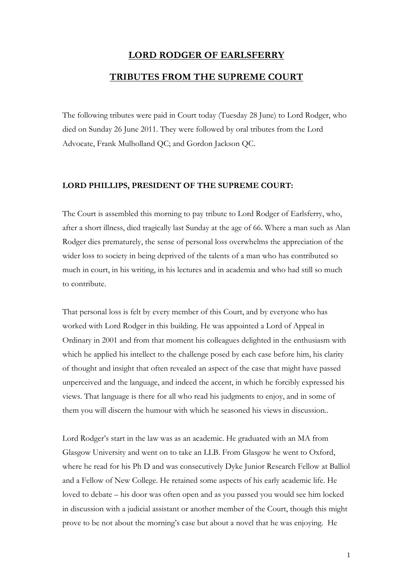## **LORD RODGER OF EARLSFERRY**

## **TRIBUTES FROM THE SUPREME COURT**

The following tributes were paid in Court today (Tuesday 28 June) to Lord Rodger, who died on Sunday 26 June 2011. They were followed by oral tributes from the Lord Advocate, Frank Mulholland QC; and Gordon Jackson QC.

## **LORD PHILLIPS, PRESIDENT OF THE SUPREME COURT:**

The Court is assembled this morning to pay tribute to Lord Rodger of Earlsferry, who, after a short illness, died tragically last Sunday at the age of 66. Where a man such as Alan Rodger dies prematurely, the sense of personal loss overwhelms the appreciation of the wider loss to society in being deprived of the talents of a man who has contributed so much in court, in his writing, in his lectures and in academia and who had still so much to contribute.

That personal loss is felt by every member of this Court, and by everyone who has worked with Lord Rodger in this building. He was appointed a Lord of Appeal in Ordinary in 2001 and from that moment his colleagues delighted in the enthusiasm with which he applied his intellect to the challenge posed by each case before him, his clarity of thought and insight that often revealed an aspect of the case that might have passed unperceived and the language, and indeed the accent, in which he forcibly expressed his views. That language is there for all who read his judgments to enjoy, and in some of them you will discern the humour with which he seasoned his views in discussion..

Lord Rodger's start in the law was as an academic. He graduated with an MA from Glasgow University and went on to take an LLB. From Glasgow he went to Oxford, where he read for his Ph D and was consecutively Dyke Junior Research Fellow at Balliol and a Fellow of New College. He retained some aspects of his early academic life. He loved to debate – his door was often open and as you passed you would see him locked in discussion with a judicial assistant or another member of the Court, though this might prove to be not about the morning's case but about a novel that he was enjoying. He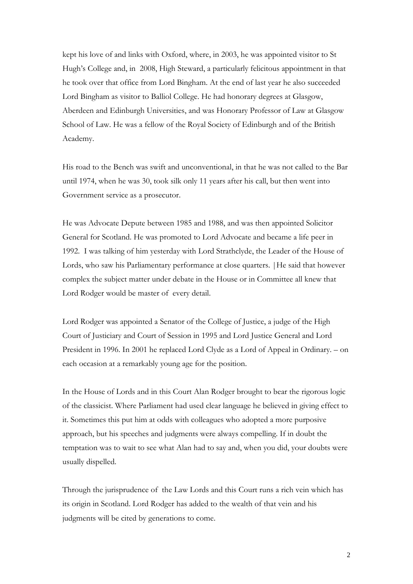kept his love of and links with Oxford, where, in 2003, he was appointed visitor to St Hugh's College and, in 2008, High Steward, a particularly felicitous appointment in that he took over that office from Lord Bingham. At the end of last year he also succeeded Lord Bingham as visitor to Balliol College. He had honorary degrees at Glasgow, Aberdeen and Edinburgh Universities, and was Honorary Professor of Law at Glasgow School of Law. He was a fellow of the Royal Society of Edinburgh and of the British Academy.

His road to the Bench was swift and unconventional, in that he was not called to the Bar until 1974, when he was 30, took silk only 11 years after his call, but then went into Government service as a prosecutor.

He was Advocate Depute between 1985 and 1988, and was then appointed Solicitor General for Scotland. He was promoted to Lord Advocate and became a life peer in 1992. I was talking of him yesterday with Lord Strathclyde, the Leader of the House of Lords, who saw his Parliamentary performance at close quarters. |He said that however complex the subject matter under debate in the House or in Committee all knew that Lord Rodger would be master of every detail.

Lord Rodger was appointed a Senator of the College of Justice, a judge of the High Court of Justiciary and Court of Session in 1995 and Lord Justice General and Lord President in 1996. In 2001 he replaced Lord Clyde as a Lord of Appeal in Ordinary. – on each occasion at a remarkably young age for the position.

In the House of Lords and in this Court Alan Rodger brought to bear the rigorous logic of the classicist. Where Parliament had used clear language he believed in giving effect to it. Sometimes this put him at odds with colleagues who adopted a more purposive approach, but his speeches and judgments were always compelling. If in doubt the temptation was to wait to see what Alan had to say and, when you did, your doubts were usually dispelled.

Through the jurisprudence of the Law Lords and this Court runs a rich vein which has its origin in Scotland. Lord Rodger has added to the wealth of that vein and his judgments will be cited by generations to come.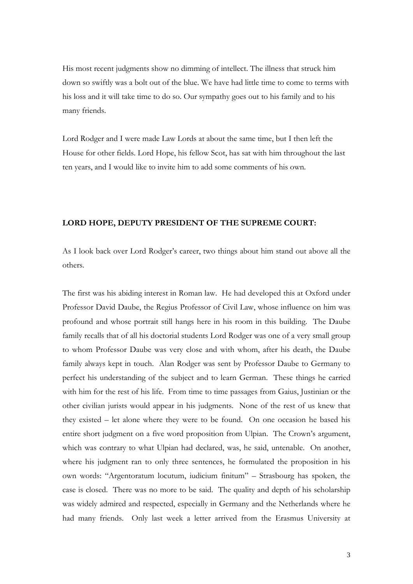His most recent judgments show no dimming of intellect. The illness that struck him down so swiftly was a bolt out of the blue. We have had little time to come to terms with his loss and it will take time to do so. Our sympathy goes out to his family and to his many friends.

Lord Rodger and I were made Law Lords at about the same time, but I then left the House for other fields. Lord Hope, his fellow Scot, has sat with him throughout the last ten years, and I would like to invite him to add some comments of his own.

## **LORD HOPE, DEPUTY PRESIDENT OF THE SUPREME COURT:**

As I look back over Lord Rodger's career, two things about him stand out above all the others.

The first was his abiding interest in Roman law. He had developed this at Oxford under Professor David Daube, the Regius Professor of Civil Law, whose influence on him was profound and whose portrait still hangs here in his room in this building. The Daube family recalls that of all his doctorial students Lord Rodger was one of a very small group to whom Professor Daube was very close and with whom, after his death, the Daube family always kept in touch. Alan Rodger was sent by Professor Daube to Germany to perfect his understanding of the subject and to learn German. These things he carried with him for the rest of his life. From time to time passages from Gaius, Justinian or the other civilian jurists would appear in his judgments. None of the rest of us knew that they existed – let alone where they were to be found. On one occasion he based his entire short judgment on a five word proposition from Ulpian. The Crown's argument, which was contrary to what Ulpian had declared, was, he said, untenable. On another, where his judgment ran to only three sentences, he formulated the proposition in his own words: "Argentoratum locutum, iudicium finitum" – Strasbourg has spoken, the case is closed. There was no more to be said. The quality and depth of his scholarship was widely admired and respected, especially in Germany and the Netherlands where he had many friends. Only last week a letter arrived from the Erasmus University at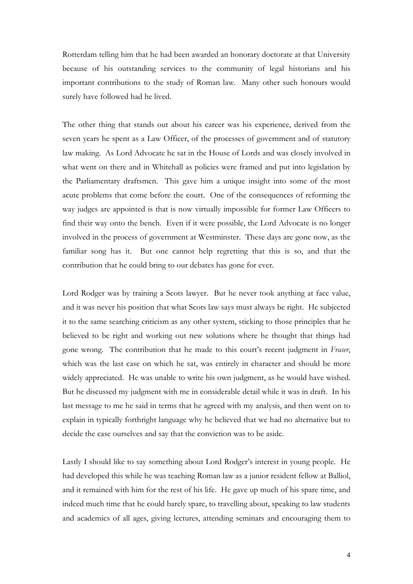Rotterdam telling him that he had been awarded an honorary doctorate at that University because of his outstanding services to the community of legal historians and his important contributions to the study of Roman law. Many other such honours would surely have followed had he lived.

The other thing that stands out about his career was his experience, derived from the seven years he spent as a Law Officer, of the processes of government and of statutory law making. As Lord Advocate he sat in the House of Lords and was closely involved in what went on there and in Whitehall as policies were framed and put into legislation by the Parliamentary draftsmen. This gave him a unique insight into some of the most acute problems that come before the court. One of the consequences of reforming the way judges are appointed is that is now virtually impossible for former Law Officers to find their way onto the bench. Even if it were possible, the Lord Advocate is no longer involved in the process of government at Westminster. These days are gone now, as the familiar song has it. But one cannot help regretting that this is so, and that the contribution that he could bring to our debates has gone for ever.

Lord Rodger was by training a Scots lawyer. But he never took anything at face value, and it was never his position that what Scots law says must always be right. He subjected it to the same searching criticism as any other system, sticking to those principles that he believed to be right and working out new solutions where he thought that things had gone wrong. The contribution that he made to this court's recent judgment in *Fraser*, which was the last case on which he sat, was entirely in character and should be more widely appreciated. He was unable to write his own judgment, as he would have wished. But he discussed my judgment with me in considerable detail while it was in draft. In his last message to me he said in terms that he agreed with my analysis, and then went on to explain in typically forthright language why he believed that we had no alternative but to decide the case ourselves and say that the conviction was to be aside.

Lastly I should like to say something about Lord Rodger's interest in young people. He had developed this while he was teaching Roman law as a junior resident fellow at Balliol, and it remained with him for the rest of his life. He gave up much of his spare time, and indeed much time that he could barely spare, to travelling about, speaking to law students and academics of all ages, giving lectures, attending seminars and encouraging them to